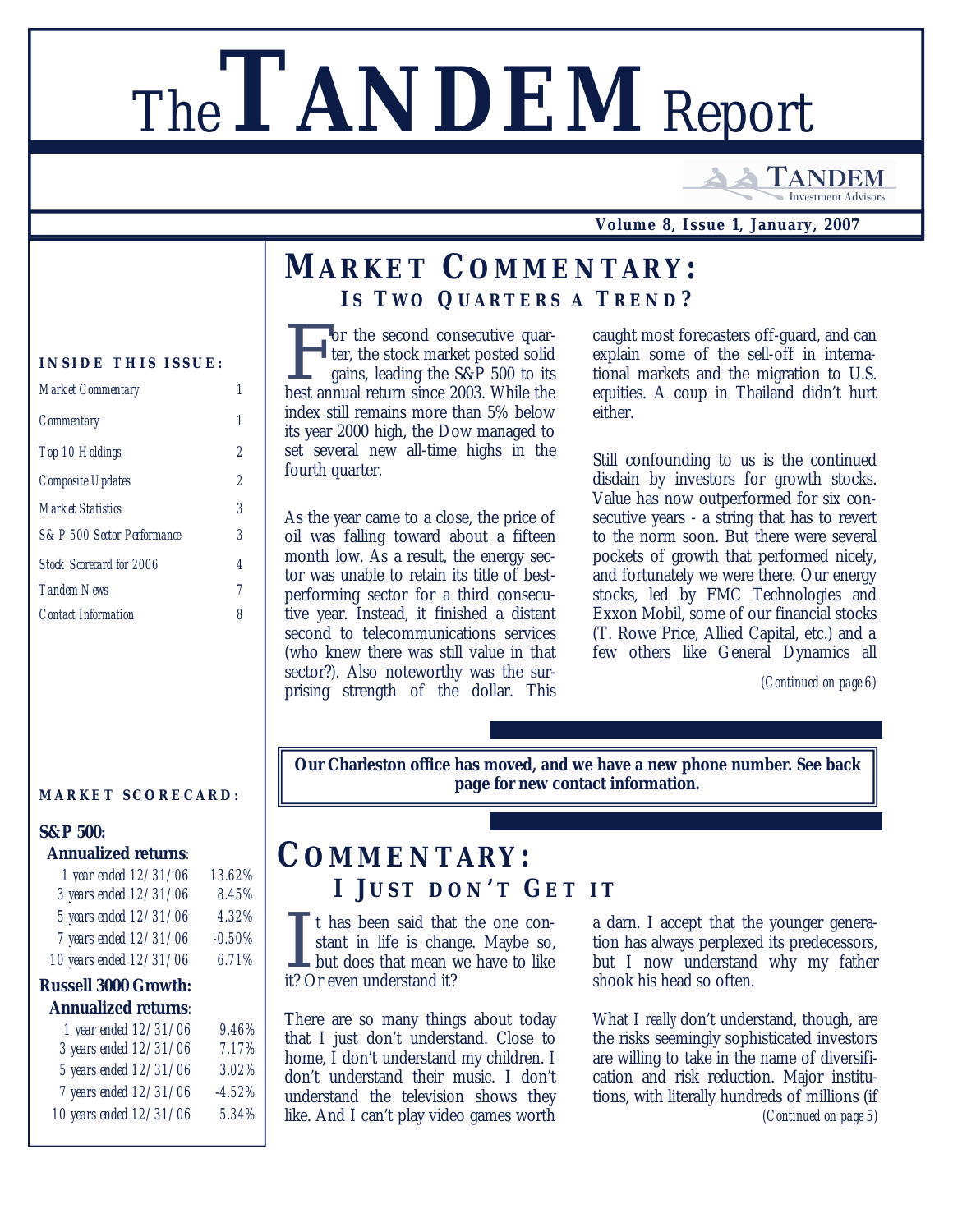# The**TANDEM** Report

**TANDEM Investment Advisor** 

**Volume 8, Issue 1, January, 2007**

# *MARKET COMMENTARY: I S T W O Q UARTER S A T REN D ?*

### **INSIDE THIS ISSUE :**

| <b>Market Commentary</b>   |   |
|----------------------------|---|
| Commentary                 | 1 |
| Top 10 Holdings            | 2 |
| Composite Updates          | 2 |
| Market Statistics          | 3 |
| S&P 500 Sector Performance | 3 |
| Stock Scorecard for 2006   | 4 |
| <b>Tandem News</b>         | 7 |
| <b>Contact Information</b> | 8 |
|                            |   |

#### **MARKET SCORECARD :**

### *S&P 500:*

### *Annualized returns:*

| 1 year ended 12/31/06   | 13.62%   |
|-------------------------|----------|
| 3 years ended 12/31/06  | 8.45%    |
| 5 years ended 12/31/06  | 4.32%    |
| 7 years ended 12/31/06  | $-0.50%$ |
| 10 years ended 12/31/06 | 6.71%    |

### *Russell 3000 Growth: Annualized returns:*

| 1 year ended 12/31/06   | 9.46%    |
|-------------------------|----------|
| 3 years ended 12/31/06  | 7.17%    |
| 5 years ended 12/31/06  | 3.02%    |
| 7 years ended 12/31/06  | $-4.52%$ |
| 10 years ended 12/31/06 | 5.34%    |

For the second consecutive quarter, the stock market posted solid gains, leading the S&P 500 to its best annual return since 2003. While the or the second consecutive quarter, the stock market posted solid gains, leading the S&P 500 to its index still remains more than 5% below its year 2000 high, the Dow managed to set several new all-time highs in the fourth quarter.

As the year came to a close, the price of oil was falling toward about a fifteen month low. As a result, the energy sector was unable to retain its title of bestperforming sector for a third consecutive year. Instead, it finished a distant second to telecommunications services (who knew there was still value in that sector?). Also noteworthy was the surprising strength of the dollar. This

caught most forecasters off-guard, and can explain some of the sell-off in international markets and the migration to U.S. equities. A coup in Thailand didn't hurt either.

Still confounding to us is the continued disdain by investors for growth stocks. Value has now outperformed for six consecutive years - a string that has to revert to the norm soon. But there were several pockets of growth that performed nicely, and fortunately we were there. Our energy stocks, led by FMC Technologies and Exxon Mobil, some of our financial stocks (T. Rowe Price, Allied Capital, etc.) and a few others like General Dynamics all

*(Continued on page 6)*

*Our Charleston office has moved, and we have a new phone number. See back page for new contact information.*

# *COMMENTARY: I J U S T D O N 'T GE T I T*

If has been said that<br>stant in life is chan<br>but does that mean v<br>it? Or even understand it? t has been said that the one constant in life is change. Maybe so, but does that mean we have to like

There are so many things about today that I just don't understand. Close to home, I don't understand my children. I don't understand their music. I don't understand the television shows they like. And I can't play video games worth

a darn. I accept that the younger generation has always perplexed its predecessors, but I now understand why my father shook his head so often.

What I *really* don't understand, though, are the risks seemingly sophisticated investors are willing to take in the name of diversification and risk reduction. Major institutions, with literally hundreds of millions (if *(Continued on page 5)*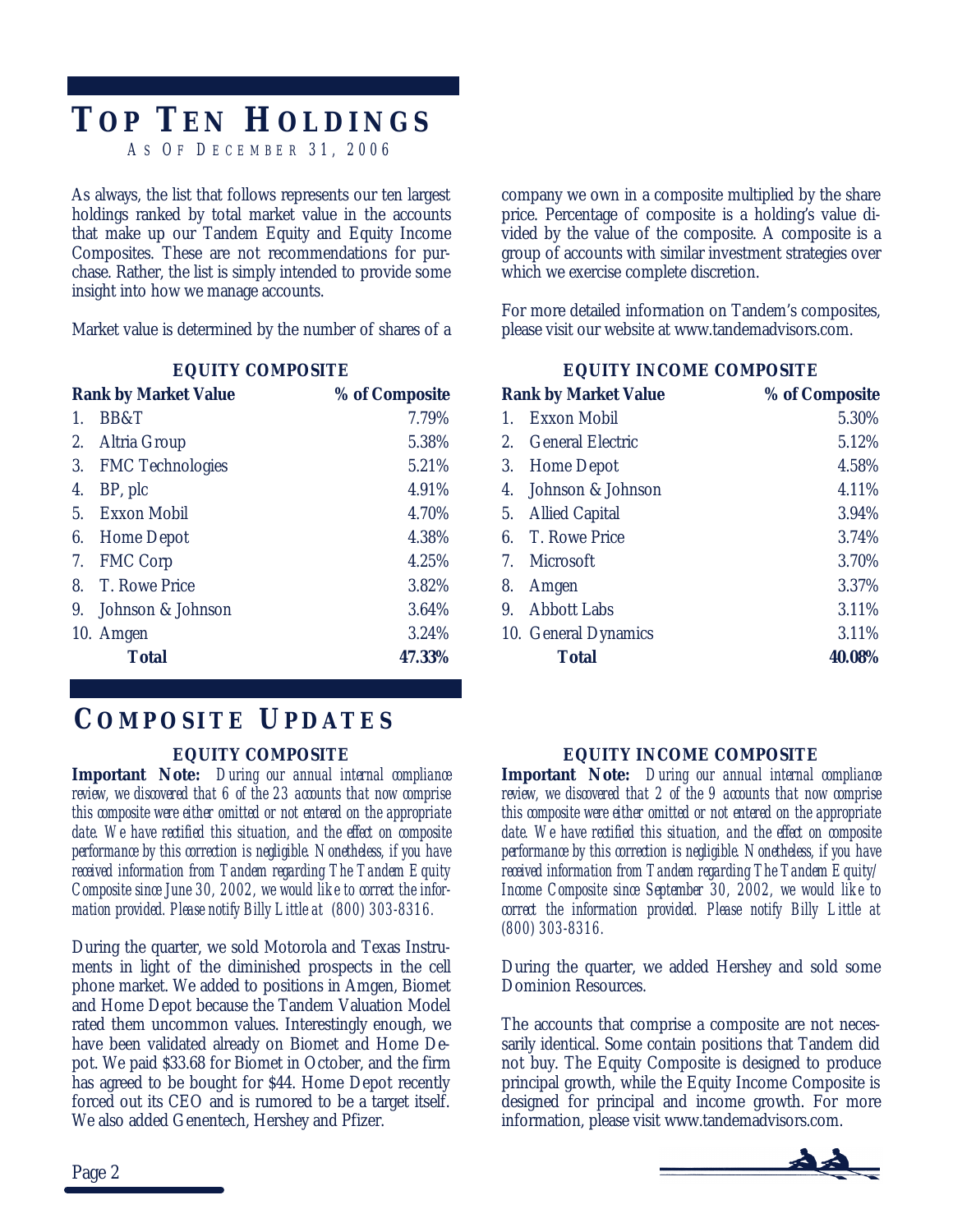# *TOP TEN HOLDINGS*

*A S O F D ECEMBE R 31, 200 6*

As always, the list that follows represents our ten largest holdings ranked by total market value in the accounts that make up our Tandem Equity and Equity Income Composites. These are not recommendations for purchase. Rather, the list is simply intended to provide some insight into how we manage accounts.

Market value is determined by the number of shares of a

|  | <b>EQUITY COMPOSITE</b> |
|--|-------------------------|
|--|-------------------------|

|                | <b>Rank by Market Value</b> | % of Composite |
|----------------|-----------------------------|----------------|
| 1.             | BB&T                        | 7.79%          |
| 2.             | Altria Group                | 5.38%          |
|                | 3. FMC Technologies         | 5.21%          |
| 4.             | BP, plc                     | 4.91%          |
| 5 <sub>1</sub> | Exxon Mobil                 | 4.70%          |
| 6.             | <b>Home Depot</b>           | 4.38%          |
|                | 7. FMC Corp                 | 4.25%          |
| 8.             | T. Rowe Price               | 3.82%          |
| 9.             | Johnson & Johnson           | 3.64%          |
|                | 10. Amgen                   | 3.24%          |
|                | <b>Total</b>                | 47.33%         |

## *COMPOSIT E UPDATE S*

### **EQUITY COMPOSITE**

*Important Note: During our annual internal compliance review, we discovered that 6 of the 23 accounts that now comprise this composite were either omitted or not entered on the appropriate date. We have rectified this situation, and the effect on composite performance by this correction is negligible. Nonetheless, if you have received information from Tandem regarding The Tandem Equity Composite since June 30, 2002, we would like to correct the information provided. Please notify Billy Little at (800) 303-8316.*

During the quarter, we sold Motorola and Texas Instruments in light of the diminished prospects in the cell phone market. We added to positions in Amgen, Biomet and Home Depot because the Tandem Valuation Model rated them uncommon values. Interestingly enough, we have been validated already on Biomet and Home Depot. We paid \$33.68 for Biomet in October, and the firm has agreed to be bought for \$44. Home Depot recently forced out its CEO and is rumored to be a target itself. We also added Genentech, Hershey and Pfizer.

company we own in a composite multiplied by the share price. Percentage of composite is a holding's value divided by the value of the composite. A composite is a group of accounts with similar investment strategies over which we exercise complete discretion.

For more detailed information on Tandem's composites, please visit our website at www.tandemadvisors.com.

**EQUITY INCOME COMPOSITE**

|                | <b>Rank by Market Value</b> | % of Composite |
|----------------|-----------------------------|----------------|
| 1.             | Exxon Mobil                 | 5.30%          |
| 2.             | <b>General Electric</b>     | 5.12%          |
| 3.             | <b>Home Depot</b>           | 4.58%          |
|                | 4. Johnson & Johnson        | 4.11%          |
|                | 5. Allied Capital           | 3.94%          |
|                | 6. T. Rowe Price            | 3.74%          |
|                | 7. Microsoft                | 3.70%          |
| 8.             | Amgen                       | 3.37%          |
| 9 <sub>l</sub> | <b>Abbott Labs</b>          | 3.11%          |
|                | 10. General Dynamics        | 3.11%          |
|                | <b>Total</b>                | 40.08%         |

### **EQUITY INCOME COMPOSITE**

*Important Note: During our annual internal compliance review, we discovered that 2 of the 9 accounts that now comprise this composite were either omitted or not entered on the appropriate date. We have rectified this situation, and the effect on composite performance by this correction is negligible. Nonetheless, if you have received information from Tandem regarding The Tandem Equity/ Income Composite since September 30, 2002, we would like to correct the information provided. Please notify Billy Little at (800) 303-8316.*

During the quarter, we added Hershey and sold some Dominion Resources.

The accounts that comprise a composite are not necessarily identical. Some contain positions that Tandem did not buy. The Equity Composite is designed to produce principal growth, while the Equity Income Composite is designed for principal and income growth. For more information, please visit www.tandemadvisors.com.

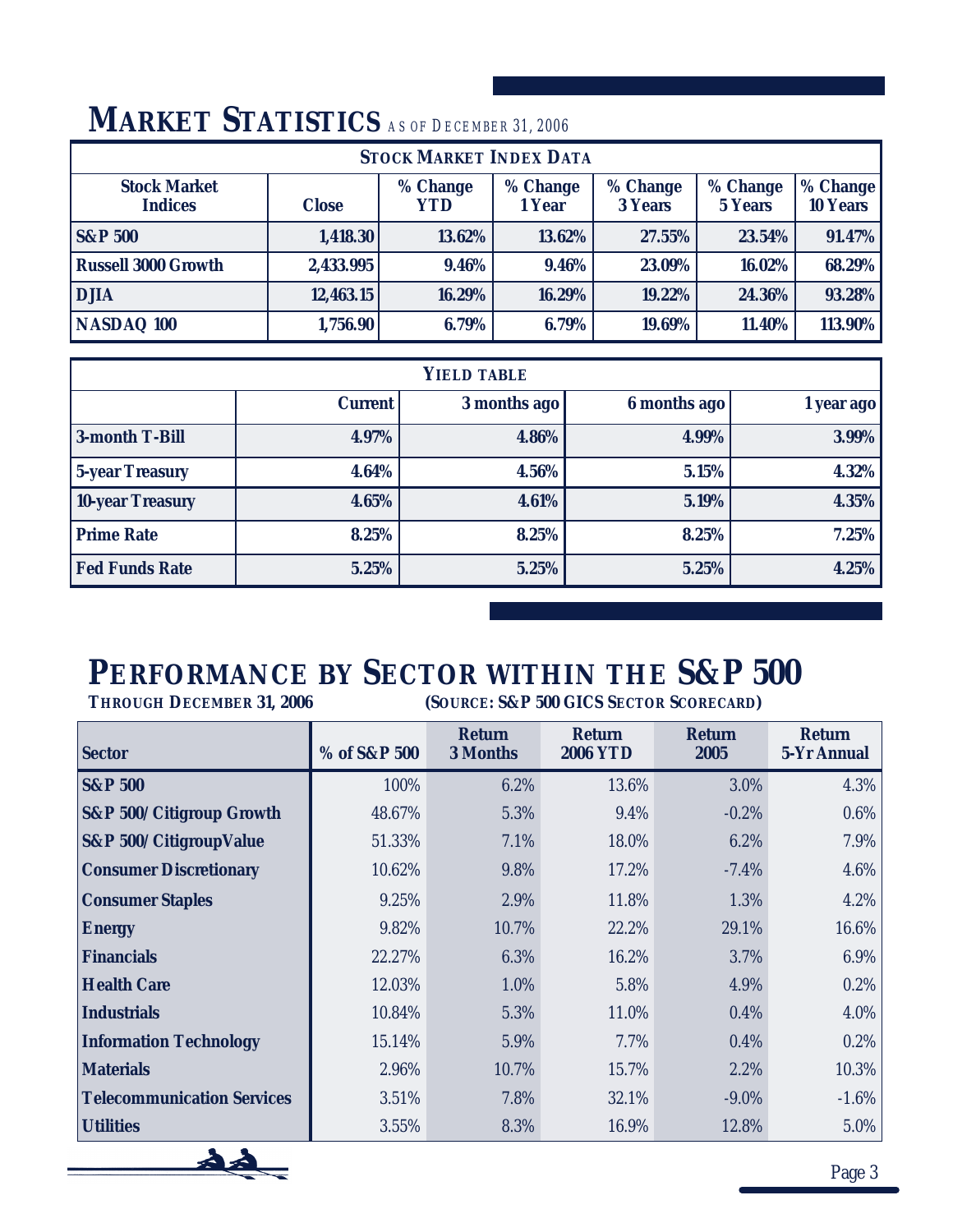| <b>STOCK MARKET INDEX DATA</b> |                        |                    |                            |                            |                             |  |
|--------------------------------|------------------------|--------------------|----------------------------|----------------------------|-----------------------------|--|
| <b>Close</b>                   | % Change<br><b>YTD</b> | % Change<br>1 Year | % Change<br><b>3 Years</b> | % Change<br><b>5 Years</b> | % Change<br><b>10 Years</b> |  |
| 1,418.30                       | 13.62%                 | 13.62%             | 27.55%                     | 23.54%                     | 91.47%                      |  |
| 2,433.995                      | 9.46%                  | 9.46%              | 23.09%                     | 16.02%                     | 68.29%                      |  |
| 12,463.15                      | 16.29%                 | 16.29%             | 19.22%                     | 24.36%                     | 93.28%                      |  |
| 1,756.90                       | 6.79%                  | 6.79%              | 19.69%                     | 11.40%                     | 113.90%                     |  |
|                                |                        |                    |                            |                            |                             |  |

# *MARKET STATISTICS AS OF DECEMBER 31, 2006*

| <b>YIELD TABLE</b>      |                |              |              |            |  |
|-------------------------|----------------|--------------|--------------|------------|--|
|                         | <b>Current</b> | 3 months ago | 6 months ago | 1 year ago |  |
| 3-month T-Bill          | 4.97%          | 4.86%        | 4.99%        | 3.99%      |  |
| <b>5-year Treasury</b>  | 4.64%          | 4.56%        | 5.15%        | 4.32%      |  |
| <b>10-year Treasury</b> | 4.65%          | $4.61\%$     | 5.19%        | 4.35%      |  |
| <b>Prime Rate</b>       | 8.25%          | 8.25%        | 8.25%        | 7.25%      |  |
| <b>Fed Funds Rate</b>   | 5.25%          | 5.25%        | 5.25%        | 4.25%      |  |

# *PERFORMANCE BY SECTOR WITHIN THE S&P 500*

*THROUGH DECEMBER 31, 2006 (SOURCE: S&P 500 GICS SECTOR SCORECARD)*

| <b>Sector</b>                     | % of S&P 500 | <b>Return</b><br>3 Months | <b>Return</b><br><b>2006 YTD</b> | <b>Return</b><br>2005 | <b>Return</b><br><b>5-Yr Annual</b> |
|-----------------------------------|--------------|---------------------------|----------------------------------|-----------------------|-------------------------------------|
| <b>S&amp;P 500</b>                | 100%         | 6.2%                      | 13.6%                            | 3.0%                  | 4.3%                                |
| S&P 500/Citigroup Growth          | 48.67%       | 5.3%                      | 9.4%                             | $-0.2%$               | 0.6%                                |
| S&P 500/CitigroupValue            | 51.33%       | 7.1%                      | 18.0%                            | 6.2%                  | 7.9%                                |
| <b>Consumer Discretionary</b>     | 10.62%       | 9.8%                      | 17.2%                            | $-7.4%$               | 4.6%                                |
| <b>Consumer Staples</b>           | 9.25%        | 2.9%                      | 11.8%                            | 1.3%                  | 4.2%                                |
| <b>Energy</b>                     | 9.82%        | 10.7%                     | 22.2%                            | 29.1%                 | 16.6%                               |
| <b>Financials</b>                 | 22.27%       | 6.3%                      | 16.2%                            | 3.7%                  | 6.9%                                |
| <b>Health Care</b>                | 12.03%       | 1.0%                      | 5.8%                             | 4.9%                  | 0.2%                                |
| <b>Industrials</b>                | 10.84%       | 5.3%                      | 11.0%                            | 0.4%                  | 4.0%                                |
| <b>Information Technology</b>     | 15.14%       | 5.9%                      | 7.7%                             | 0.4%                  | 0.2%                                |
| <b>Materials</b>                  | 2.96%        | 10.7%                     | 15.7%                            | 2.2%                  | 10.3%                               |
| <b>Telecommunication Services</b> | 3.51%        | 7.8%                      | 32.1%                            | $-9.0\%$              | $-1.6%$                             |
| <b>Utilities</b>                  | 3.55%        | 8.3%                      | 16.9%                            | 12.8%                 | 5.0%                                |

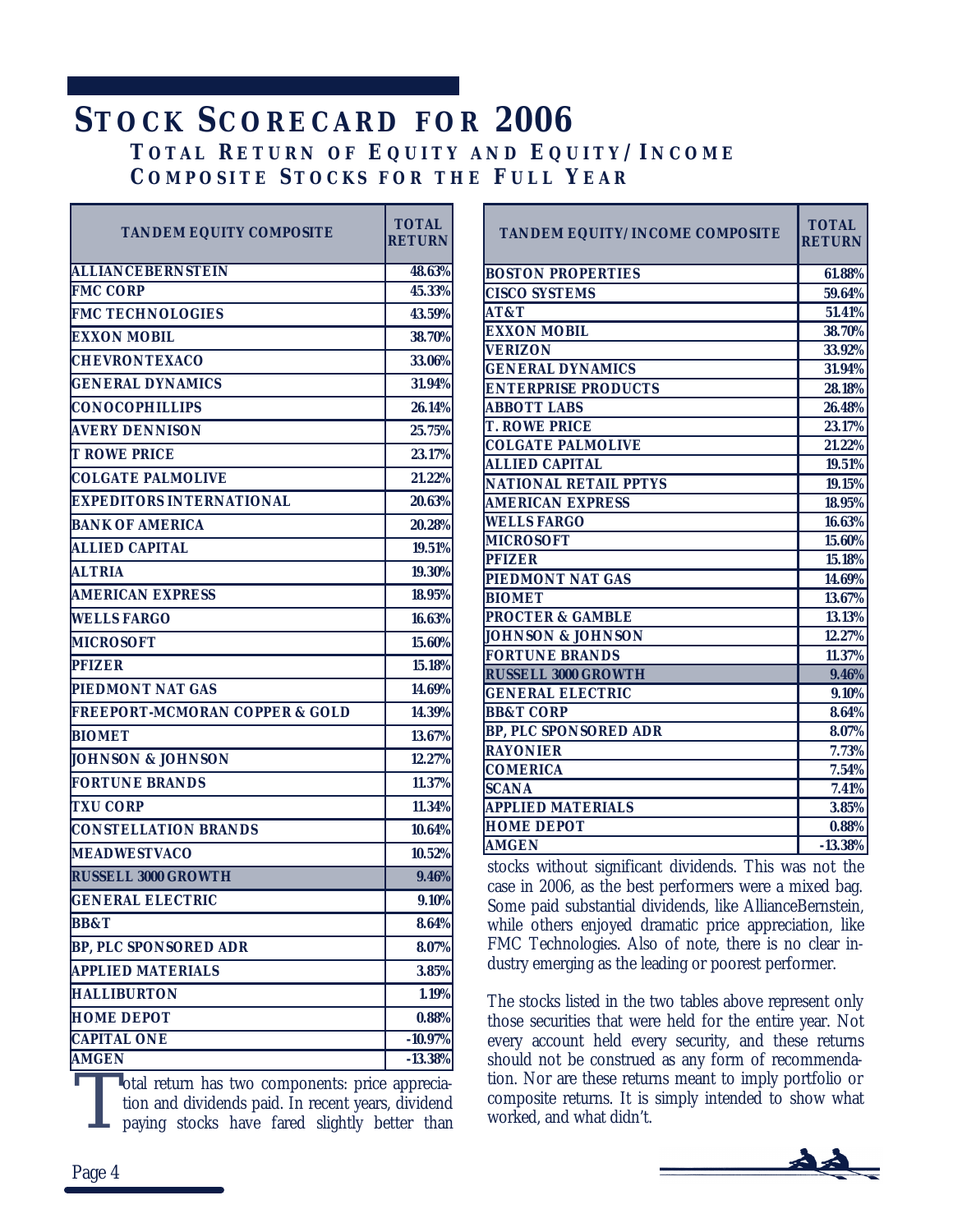### *STOCK SCORECARD F OR 2006 T OTAL R ETUR N O F E QUIT Y A N D E QUIT Y / I NCOM E C OMPOSIT E S TOCK S F O R T H E F U L L Y E A R*

| <b>TANDEM EQUITY COMPOSITE</b>            | <b>TOTAL</b><br><b>RETURN</b> |
|-------------------------------------------|-------------------------------|
| <b>ALLIANCEBERNSTEIN</b>                  | 48.63%                        |
| <b>FMC CORP</b>                           | 45.33%                        |
| <b>FMC TECHNOLOGIES</b>                   | 43.59%                        |
| <b>EXXON MOBIL</b>                        | 38.70%                        |
| <b>CHEVRONTEXACO</b>                      | 33.06%                        |
| <b>GENERAL DYNAMICS</b>                   | 31.94%                        |
| <b>CONOCOPHILLIPS</b>                     | 26.14%                        |
| <b>AVERY DENNISON</b>                     | 25.75%                        |
| <b>T ROWE PRICE</b>                       | 23.17%                        |
| <b>COLGATE PALMOLIVE</b>                  | 21.22%                        |
| <b>EXPEDITORS INTERNATIONAL</b>           | 20.63%                        |
| <b>BANK OF AMERICA</b>                    | 20.28%                        |
| <b>ALLIED CAPITAL</b>                     | 19.51%                        |
| <b>ALTRIA</b>                             | 19.30%                        |
| <b>AMERICAN EXPRESS</b>                   | 18.95%                        |
| <b>WELLS FARGO</b>                        | 16.63%                        |
| <b>MICROSOFT</b>                          | 15.60%                        |
| <b>PFIZER</b>                             | 15.18%                        |
| <b>PIEDMONT NAT GAS</b>                   | 14.69%                        |
| <b>FREEPORT-MCMORAN COPPER &amp; GOLD</b> | 14.39%                        |
| <b>BIOMET</b>                             | 13.67%                        |
| <b>JOHNSON &amp; JOHNSON</b>              | 12.27%                        |
| <b>FORTUNE BRANDS</b>                     | 11.37%                        |
| <b>TXU CORP</b>                           | 11.34%                        |
| <b>CONSTELLATION BRANDS</b>               | 10.64%                        |
| <b>MEADWESTVACO</b>                       | 10.52%                        |
| <b>RUSSELL 3000 GROWTH</b>                | 9.46%                         |
| <b>GENERAL ELECTRIC</b>                   | 9.10%                         |
| <b>BB&amp;T</b>                           | 8.64%                         |
| <b>BP, PLC SPONSORED ADR</b>              | 8.07%                         |
| <b>APPLIED MATERIALS</b>                  | 3.85%                         |
| <b>HALLIBURTON</b>                        | 1.19%                         |
| <b>HOME DEPOT</b>                         | 0.88%                         |
| <b>CAPITAL ONE</b>                        | $-10.97%$                     |
| <b>AMGEN</b>                              | $-13.38%$                     |

T otal return has two components: price appreciation and dividends paid. In recent years, dividend paying stocks have fared slightly better than

| <b>TANDEM EQUITY/INCOME COMPOSITE</b> | <b>TOTAL</b><br><b>RETURN</b> |
|---------------------------------------|-------------------------------|
| <b>BOSTON PROPERTIES</b>              | 61.88%                        |
| <b>CISCO SYSTEMS</b>                  | 59.64%                        |
| <b>AT&amp;T</b>                       | 51.41%                        |
| <b>EXXON MOBIL</b>                    | 38.70%                        |
| <b>VERIZON</b>                        | 33.92%                        |
| <b>GENERAL DYNAMICS</b>               | 31.94%                        |
| <b>ENTERPRISE PRODUCTS</b>            | 28.18%                        |
| <b>ABBOTT LABS</b>                    | 26.48%                        |
| <b>T. ROWE PRICE</b>                  | 23.17%                        |
| <b>COLGATE PALMOLIVE</b>              | 21.22%                        |
| <b>ALLIED CAPITAL</b>                 | 19.51%                        |
| <b>NATIONAL RETAIL PPTYS</b>          | 19.15%                        |
| <b>AMERICAN EXPRESS</b>               | 18.95%                        |
| <b>WELLS FARGO</b>                    | 16.63%                        |
| <b>MICROSOFT</b>                      | 15.60%                        |
| <b>PFIZER</b>                         | 15.18%                        |
| PIEDMONT NAT GAS                      | 14.69%                        |
| <b>BIOMET</b>                         | 13.67%                        |
| <b>PROCTER &amp; GAMBLE</b>           | 13.13%                        |
| <b>JOHNSON &amp; JOHNSON</b>          | 12.27%                        |
| <b>FORTUNE BRANDS</b>                 | 11.37%                        |
| <b>RUSSELL 3000 GROWTH</b>            | 9.46%                         |
| <b>GENERAL ELECTRIC</b>               | 9.10%                         |
| <b>BB&amp;T CORP</b>                  | 8.64%                         |
| <b>BP, PLC SPONSORED ADR</b>          | 8.07%                         |
| <b>RAYONIER</b>                       | 7.73%                         |
| <b>COMERICA</b>                       | 7.54%                         |
| <b>SCANA</b>                          | 7.41%                         |
| <b>APPLIED MATERIALS</b>              | 3.85%                         |
| <b>HOME DEPOT</b>                     | 0.88%                         |
| <b>AMGEN</b>                          | $-13.38%$                     |

stocks without significant dividends. This was not the case in 2006, as the best performers were a mixed bag. Some paid substantial dividends, like AllianceBernstein, while others enjoyed dramatic price appreciation, like FMC Technologies. Also of note, there is no clear industry emerging as the leading or poorest performer.

The stocks listed in the two tables above represent only those securities that were held for the entire year. Not every account held every security, and these returns should not be construed as any form of recommendation. Nor are these returns meant to imply portfolio or composite returns. It is simply intended to show what worked, and what didn't.

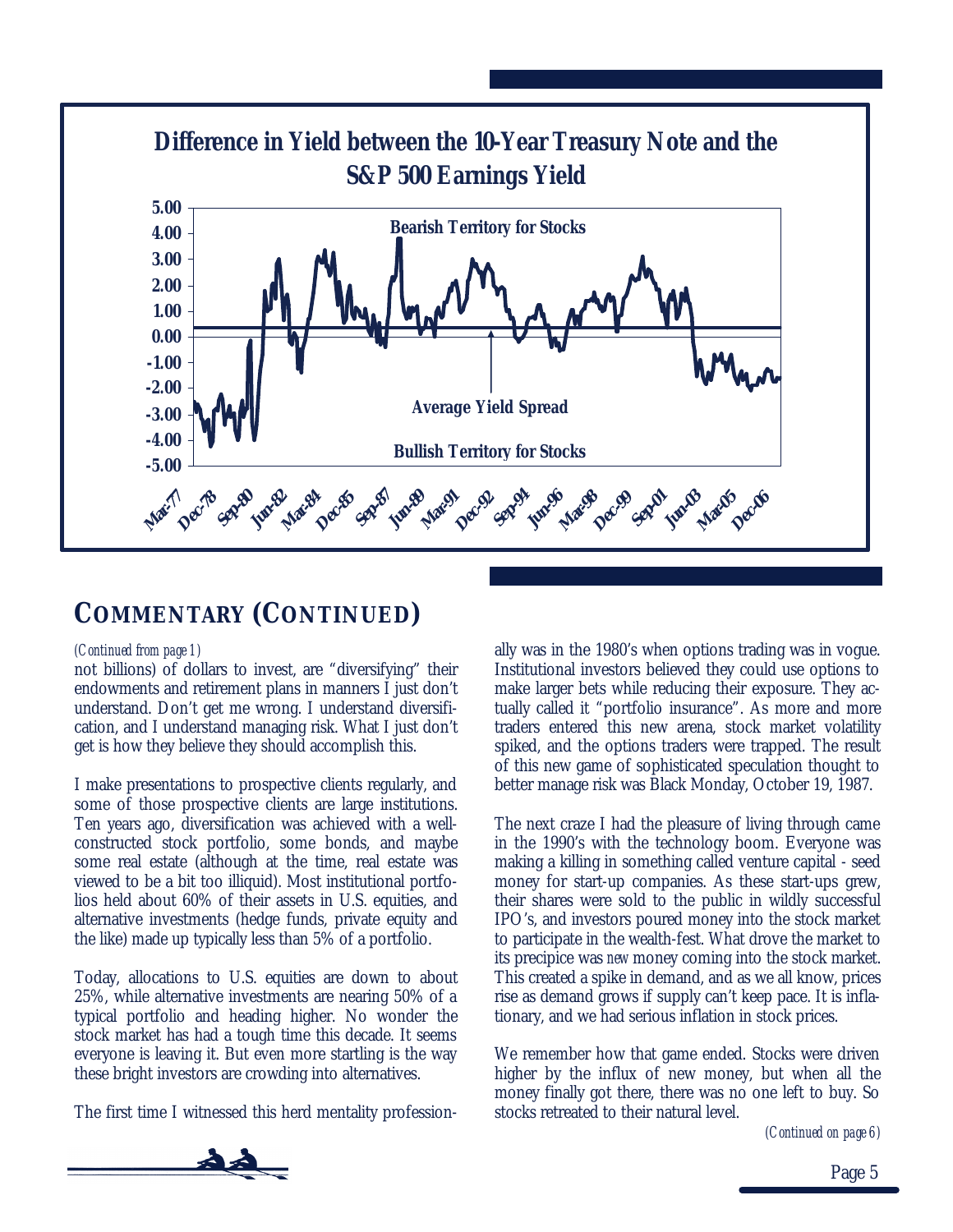

### *COMMENTARY (CONTINUED)*

not billions) of dollars to invest, are "diversifying" their endowments and retirement plans in manners I just don't understand. Don't get me wrong. I understand diversification, and I understand managing risk. What I just don't get is how they believe they should accomplish this.

I make presentations to prospective clients regularly, and some of those prospective clients are large institutions. Ten years ago, diversification was achieved with a wellconstructed stock portfolio, some bonds, and maybe some real estate (although at the time, real estate was viewed to be a bit too illiquid). Most institutional portfolios held about 60% of their assets in U.S. equities, and alternative investments (hedge funds, private equity and the like) made up typically less than 5% of a portfolio.

Today, allocations to U.S. equities are down to about 25%, while alternative investments are nearing 50% of a typical portfolio and heading higher. No wonder the stock market has had a tough time this decade. It seems everyone is leaving it. But even more startling is the way these bright investors are crowding into alternatives.

The first time I witnessed this herd mentality profession-

*(Continued from page 1)* ally was in the 1980's when options trading was in vogue. Institutional investors believed they could use options to make larger bets while reducing their exposure. They actually called it "portfolio insurance". As more and more traders entered this new arena, stock market volatility spiked, and the options traders were trapped. The result of this new game of sophisticated speculation thought to better manage risk was Black Monday, October 19, 1987.

> The next craze I had the pleasure of living through came in the 1990's with the technology boom. Everyone was making a killing in something called venture capital - seed money for start-up companies. As these start-ups grew, their shares were sold to the public in wildly successful IPO's, and investors poured money into the stock market to participate in the wealth-fest. What drove the market to its precipice was *new* money coming into the stock market. This created a spike in demand, and as we all know, prices rise as demand grows if supply can't keep pace. It is inflationary, and we had serious inflation in stock prices.

> We remember how that game ended. Stocks were driven higher by the influx of new money, but when all the money finally got there, there was no one left to buy. So stocks retreated to their natural level.

> > *(Continued on page 6)*

![](_page_4_Picture_11.jpeg)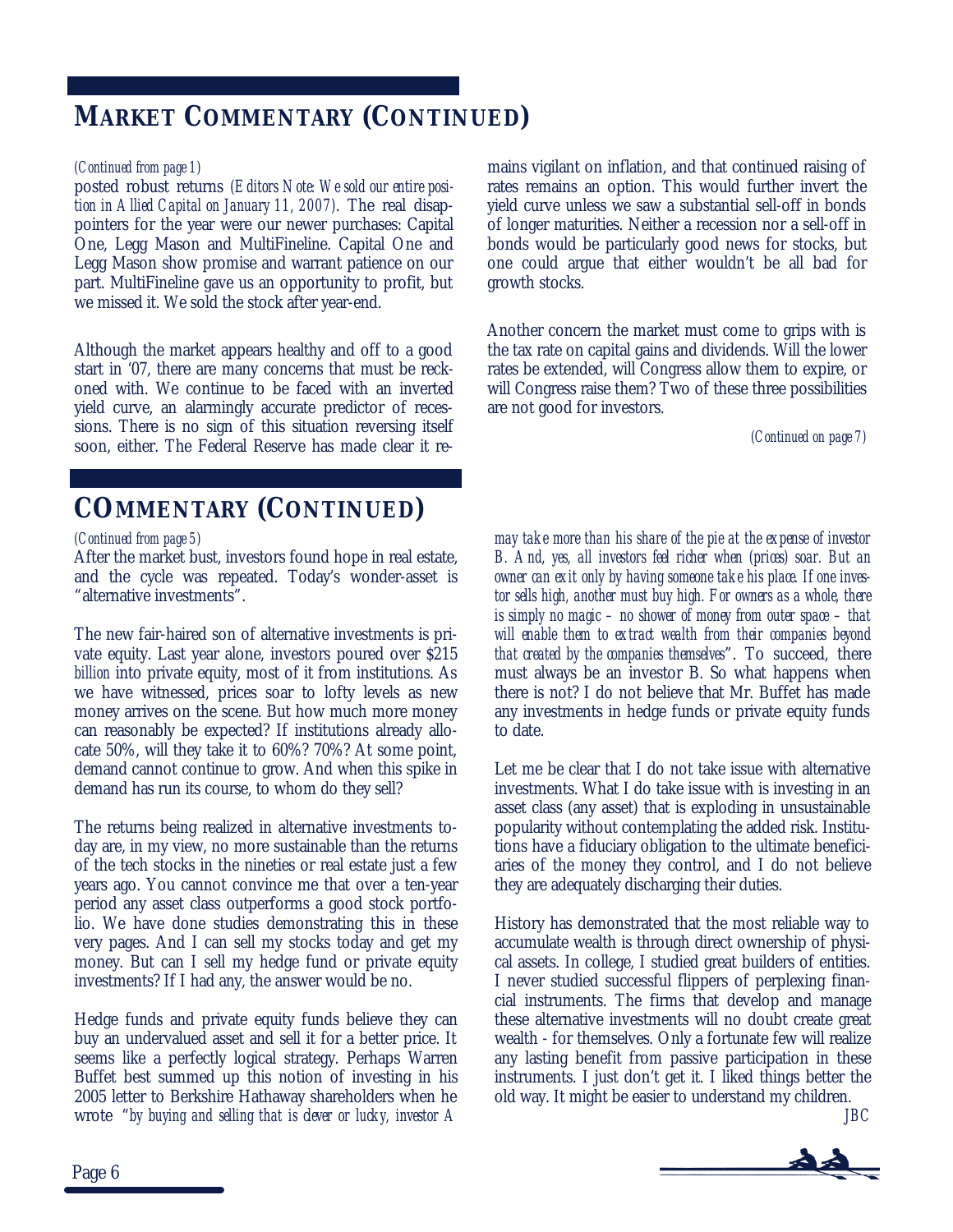# *MARKET COMMENTARY (CONTINUED)*

### *(Continued from page 1)*

posted robust returns *(Editors Note: We sold our entire position in Allied Capital on January 11, 2007)*. The real disappointers for the year were our newer purchases: Capital One, Legg Mason and MultiFineline. Capital One and Legg Mason show promise and warrant patience on our part. MultiFineline gave us an opportunity to profit, but we missed it. We sold the stock after year-end.

Although the market appears healthy and off to a good start in '07, there are many concerns that must be reckoned with. We continue to be faced with an inverted yield curve, an alarmingly accurate predictor of recessions. There is no sign of this situation reversing itself soon, either. The Federal Reserve has made clear it remains vigilant on inflation, and that continued raising of rates remains an option. This would further invert the yield curve unless we saw a substantial sell-off in bonds of longer maturities. Neither a recession nor a sell-off in bonds would be particularly good news for stocks, but one could argue that either wouldn't be all bad for growth stocks.

Another concern the market must come to grips with is the tax rate on capital gains and dividends. Will the lower rates be extended, will Congress allow them to expire, or will Congress raise them? Two of these three possibilities are not good for investors.

*(Continued on page 7)*

# *COMMENTARY (CONTINUED)*

After the market bust, investors found hope in real estate, and the cycle was repeated. Today's wonder-asset is "alternative investments".

The new fair-haired son of alternative investments is private equity. Last year alone, investors poured over \$215 *billion* into private equity, most of it from institutions. As we have witnessed, prices soar to lofty levels as new money arrives on the scene. But how much more money can reasonably be expected? If institutions already allocate 50%, will they take it to 60%? 70%? At some point, demand cannot continue to grow. And when this spike in demand has run its course, to whom do they sell?

The returns being realized in alternative investments today are, in my view, no more sustainable than the returns of the tech stocks in the nineties or real estate just a few years ago. You cannot convince me that over a ten-year period any asset class outperforms a good stock portfolio. We have done studies demonstrating this in these very pages. And I can sell my stocks today and get my money. But can I sell my hedge fund or private equity investments? If I had any, the answer would be no.

Hedge funds and private equity funds believe they can buy an undervalued asset and sell it for a better price. It seems like a perfectly logical strategy. Perhaps Warren Buffet best summed up this notion of investing in his 2005 letter to Berkshire Hathaway shareholders when he wrote "*by buying and selling that is clever or lucky, investor A*

*(Continued from page 5) may take more than his share of the pie at the expense of investor B. And, yes, all investors feel richer when (prices) soar. But an owner can exit only by having someone take his place. If one investor sells high, another must buy high. For owners as a whole, there is simply no magic – no shower of money from outer space – that will enable them to extract wealth from their companies beyond that created by the companies themselves*". To succeed, there must always be an investor B. So what happens when there is not? I do not believe that Mr. Buffet has made any investments in hedge funds or private equity funds to date.

> Let me be clear that I do not take issue with alternative investments. What I do take issue with is investing in an asset class (any asset) that is exploding in unsustainable popularity without contemplating the added risk. Institutions have a fiduciary obligation to the ultimate beneficiaries of the money they control, and I do not believe they are adequately discharging their duties.

> History has demonstrated that the most reliable way to accumulate wealth is through direct ownership of physical assets. In college, I studied great builders of entities. I never studied successful flippers of perplexing financial instruments. The firms that develop and manage these alternative investments will no doubt create great wealth - for themselves. Only a fortunate few will realize any lasting benefit from passive participation in these instruments. I just don't get it. I liked things better the old way. It might be easier to understand my children.

> > *JBC*

![](_page_5_Picture_17.jpeg)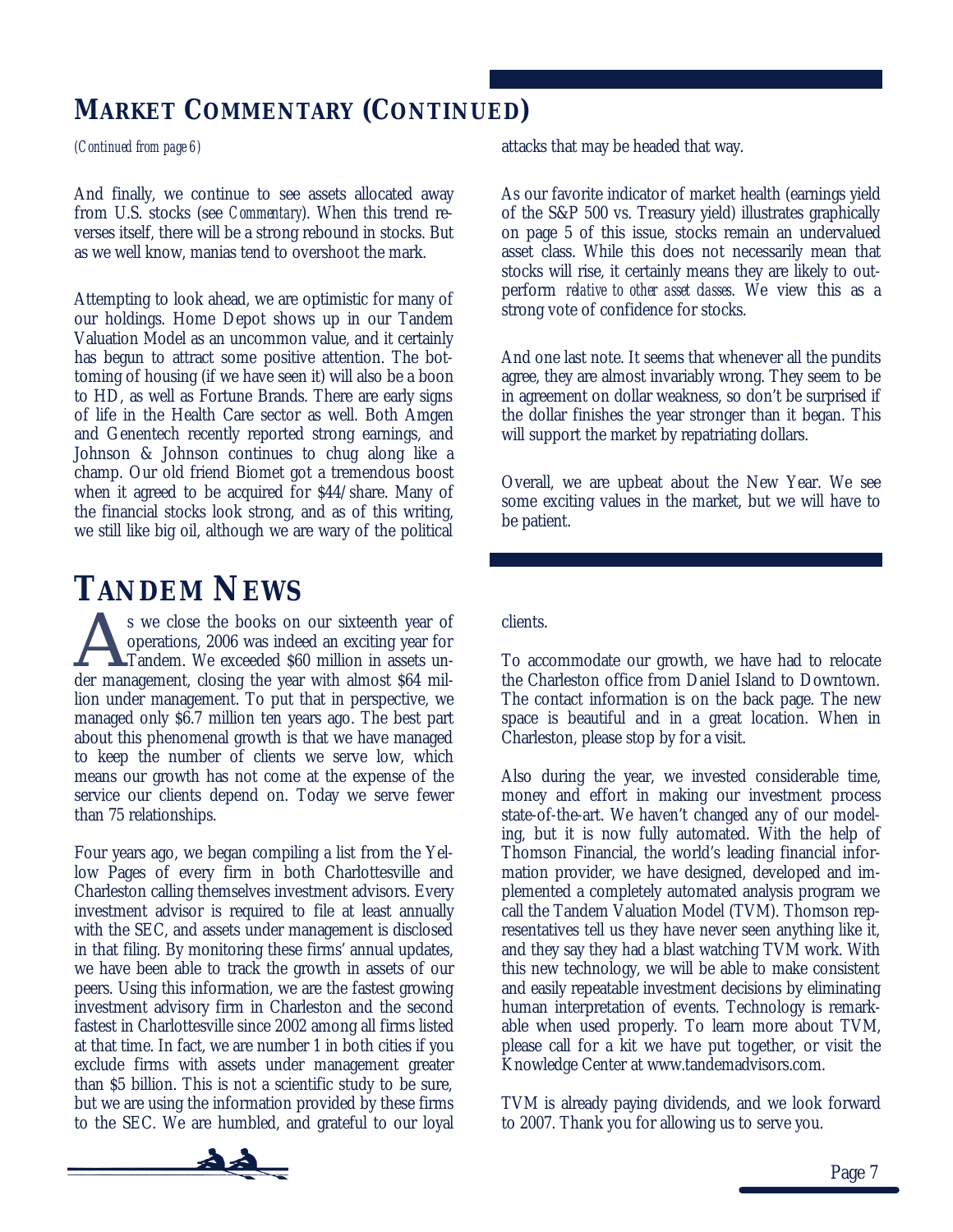# *MARKET COMMENTARY (CONTINUED)*

And finally, we continue to see assets allocated away from U.S. stocks (see *Commentary*). When this trend reverses itself, there will be a strong rebound in stocks. But as we well know, manias tend to overshoot the mark.

Attempting to look ahead, we are optimistic for many of our holdings. Home Depot shows up in our Tandem Valuation Model as an uncommon value, and it certainly has begun to attract some positive attention. The bottoming of housing (if we have seen it) will also be a boon to HD, as well as Fortune Brands. There are early signs of life in the Health Care sector as well. Both Amgen and Genentech recently reported strong earnings, and Johnson & Johnson continues to chug along like a champ. Our old friend Biomet got a tremendous boost when it agreed to be acquired for \$44/share. Many of the financial stocks look strong, and as of this writing, we still like big oil, although we are wary of the political

# *TANDEM NEWS*

s we close the books on our sixteenth year of operations, 2006 was indeed an exciting year for Tandem. We exceeded \$60 million in assets under management, closing the year with almost \$64 mils we close the books on our sixteenth year of operations, 2006 was indeed an exciting year for Tandem. We exceeded \$60 million in assets unlion under management. To put that in perspective, we managed only \$6.7 million ten years ago. The best part about this phenomenal growth is that we have managed to keep the number of clients we serve low, which means our growth has not come at the expense of the service our clients depend on. Today we serve fewer than 75 relationships.

Four years ago, we began compiling a list from the Yellow Pages of every firm in both Charlottesville and Charleston calling themselves investment advisors. Every investment advisor is required to file at least annually with the SEC, and assets under management is disclosed in that filing. By monitoring these firms' annual updates, we have been able to track the growth in assets of our peers. Using this information, we are the fastest growing investment advisory firm in Charleston and the second fastest in Charlottesville since 2002 among all firms listed at that time. In fact, we are number 1 in both cities if you exclude firms with assets under management greater than \$5 billion. This is not a scientific study to be sure, but we are using the information provided by these firms to the SEC. We are humbled, and grateful to our loyal

*(Continued from page 6)* attacks that may be headed that way.

As our favorite indicator of market health (earnings yield of the S&P 500 vs. Treasury yield) illustrates graphically on page 5 of this issue, stocks remain an undervalued asset class. While this does not necessarily mean that stocks will rise, it certainly means they are likely to outperform *relative to other asset classes*. We view this as a strong vote of confidence for stocks.

And one last note. It seems that whenever all the pundits agree, they are almost invariably wrong. They seem to be in agreement on dollar weakness, so don't be surprised if the dollar finishes the year stronger than it began. This will support the market by repatriating dollars.

Overall, we are upbeat about the New Year. We see some exciting values in the market, but we will have to be patient.

clients.

To accommodate our growth, we have had to relocate the Charleston office from Daniel Island to Downtown. The contact information is on the back page. The new space is beautiful and in a great location. When in Charleston, please stop by for a visit.

Also during the year, we invested considerable time, money and effort in making our investment process state-of-the-art. We haven't changed any of our modeling, but it is now fully automated. With the help of Thomson Financial, the world's leading financial information provider, we have designed, developed and implemented a completely automated analysis program we call the Tandem Valuation Model (TVM). Thomson representatives tell us they have never seen anything like it, and they say they had a blast watching TVM work. With this new technology, we will be able to make consistent and easily repeatable investment decisions by eliminating human interpretation of events. Technology is remarkable when used properly. To learn more about TVM, please call for a kit we have put together, or visit the Knowledge Center at www.tandemadvisors.com.

TVM is already paying dividends, and we look forward to 2007. Thank you for allowing us to serve you.

![](_page_6_Picture_15.jpeg)